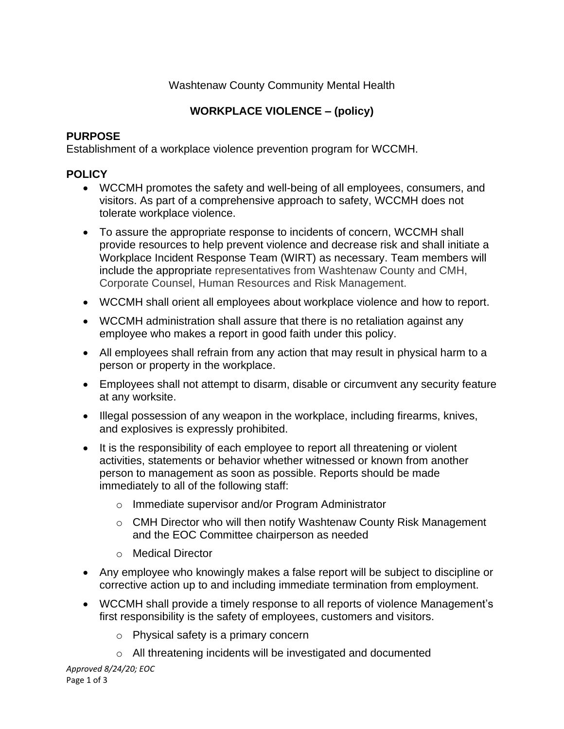## Washtenaw County Community Mental Health

# **WORKPLACE VIOLENCE – (policy)**

### **PURPOSE**

Establishment of a workplace violence prevention program for WCCMH.

# **POLICY**

- WCCMH promotes the safety and well-being of all employees, consumers, and visitors. As part of a comprehensive approach to safety, WCCMH does not tolerate workplace violence.
- To assure the appropriate response to incidents of concern, WCCMH shall provide resources to help prevent violence and decrease risk and shall initiate a Workplace Incident Response Team (WIRT) as necessary. Team members will include the appropriate representatives from Washtenaw County and CMH, Corporate Counsel, Human Resources and Risk Management.
- WCCMH shall orient all employees about workplace violence and how to report.
- WCCMH administration shall assure that there is no retaliation against any employee who makes a report in good faith under this policy.
- All employees shall refrain from any action that may result in physical harm to a person or property in the workplace.
- Employees shall not attempt to disarm, disable or circumvent any security feature at any worksite.
- Illegal possession of any weapon in the workplace, including firearms, knives, and explosives is expressly prohibited.
- It is the responsibility of each employee to report all threatening or violent activities, statements or behavior whether witnessed or known from another person to management as soon as possible. Reports should be made immediately to all of the following staff:
	- o Immediate supervisor and/or Program Administrator
	- o CMH Director who will then notify Washtenaw County Risk Management and the EOC Committee chairperson as needed
	- o Medical Director
- Any employee who knowingly makes a false report will be subject to discipline or corrective action up to and including immediate termination from employment.
- WCCMH shall provide a timely response to all reports of violence Management's first responsibility is the safety of employees, customers and visitors.
	- o Physical safety is a primary concern
	- o All threatening incidents will be investigated and documented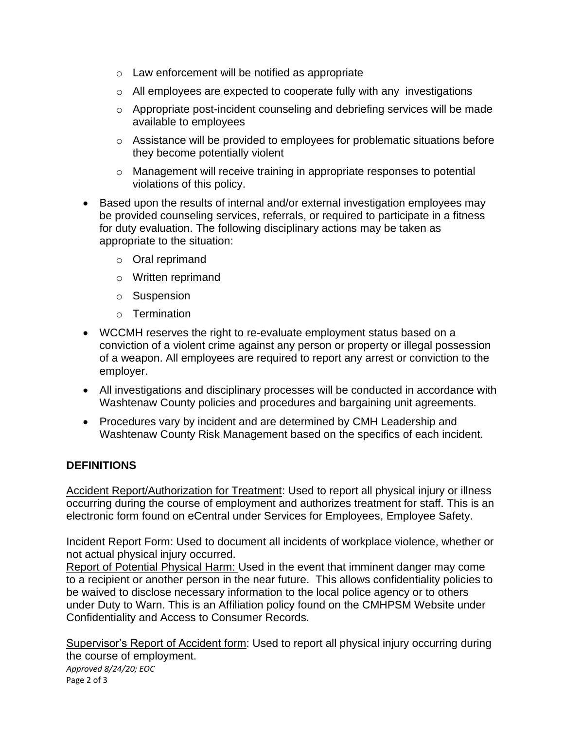- o Law enforcement will be notified as appropriate
- o All employees are expected to cooperate fully with any investigations
- o Appropriate post-incident counseling and debriefing services will be made available to employees
- o Assistance will be provided to employees for problematic situations before they become potentially violent
- o Management will receive training in appropriate responses to potential violations of this policy.
- Based upon the results of internal and/or external investigation employees may be provided counseling services, referrals, or required to participate in a fitness for duty evaluation. The following disciplinary actions may be taken as appropriate to the situation:
	- o Oral reprimand
	- o Written reprimand
	- o Suspension
	- o Termination
- WCCMH reserves the right to re-evaluate employment status based on a conviction of a violent crime against any person or property or illegal possession of a weapon. All employees are required to report any arrest or conviction to the employer.
- All investigations and disciplinary processes will be conducted in accordance with Washtenaw County policies and procedures and bargaining unit agreements.
- Procedures vary by incident and are determined by CMH Leadership and Washtenaw County Risk Management based on the specifics of each incident.

#### **DEFINITIONS**

Accident Report/Authorization for Treatment: Used to report all physical injury or illness occurring during the course of employment and authorizes treatment for staff. This is an electronic form found on eCentral under Services for Employees, Employee Safety.

Incident Report Form: Used to document all incidents of workplace violence, whether or not actual physical injury occurred.

Report of Potential Physical Harm: Used in the event that imminent danger may come to a recipient or another person in the near future. This allows confidentiality policies to be waived to disclose necessary information to the local police agency or to others under Duty to Warn. This is an Affiliation policy found on the CMHPSM Website under Confidentiality and Access to Consumer Records.

*Approved 8/24/20; EOC* Page 2 of 3 Supervisor's Report of Accident form: Used to report all physical injury occurring during the course of employment.